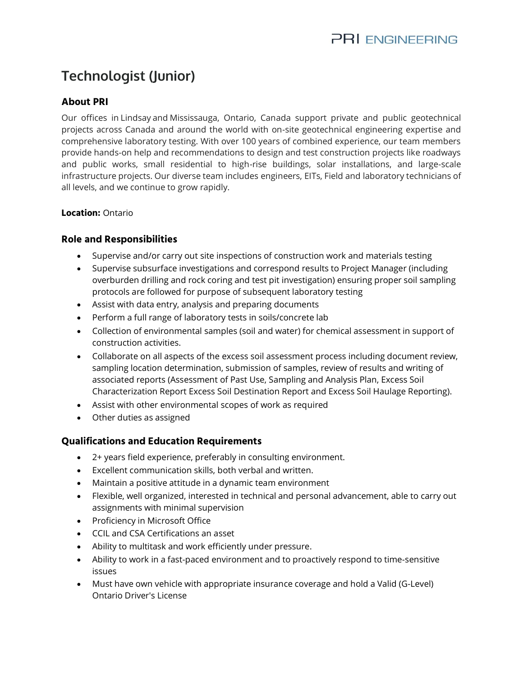# **Technologist (Junior)**

# **About PRI**

Our offices in [Lindsaya](https://www.google.com/maps/dir/44.3545527,-78.7374432/@44.354553,-78.737443,16z?hl=en)nd [Mississauga,](https://www.google.com/maps/dir/43.7148078,-79.6254849/@43.714808,-79.625485,16z?hl=en) Ontario, Canada support private and public geotechnical projects across Canada and around the world with on-site geotechnical engineering expertise and comprehensive laboratory testing. With over 100 years of combined experience, our team members provide hands-on help and recommendations to design and test construction projects like roadways and public works, small residential to high-rise buildings, solar installations, and large-scale infrastructure projects. Our diverse team includes engineers, EITs, Field and laboratory technicians of all levels, and we continue to grow rapidly.

### **Location:** Ontario

## **Role and Responsibilities**

- Supervise and/or carry out site inspections of construction work and materials testing
- Supervise subsurface investigations and correspond results to Project Manager (including overburden drilling and rock coring and test pit investigation) ensuring proper soil sampling protocols are followed for purpose of subsequent laboratory testing
- Assist with data entry, analysis and preparing documents
- Perform a full range of laboratory tests in soils/concrete lab
- Collection of environmental samples (soil and water) for chemical assessment in support of construction activities.
- Collaborate on all aspects of the excess soil assessment process including document review, sampling location determination, submission of samples, review of results and writing of associated reports (Assessment of Past Use, Sampling and Analysis Plan, Excess Soil Characterization Report Excess Soil Destination Report and Excess Soil Haulage Reporting).
- Assist with other environmental scopes of work as required
- Other duties as assigned

### **Qualifications and Education Requirements**

- 2+ years field experience, preferably in consulting environment.
- Excellent communication skills, both verbal and written.
- Maintain a positive attitude in a dynamic team environment
- Flexible, well organized, interested in technical and personal advancement, able to carry out assignments with minimal supervision
- Proficiency in Microsoft Office
- CCIL and CSA Certifications an asset
- Ability to multitask and work efficiently under pressure.
- Ability to work in a fast-paced environment and to proactively respond to time-sensitive issues
- Must have own vehicle with appropriate insurance coverage and hold a Valid (G-Level) Ontario Driver's License